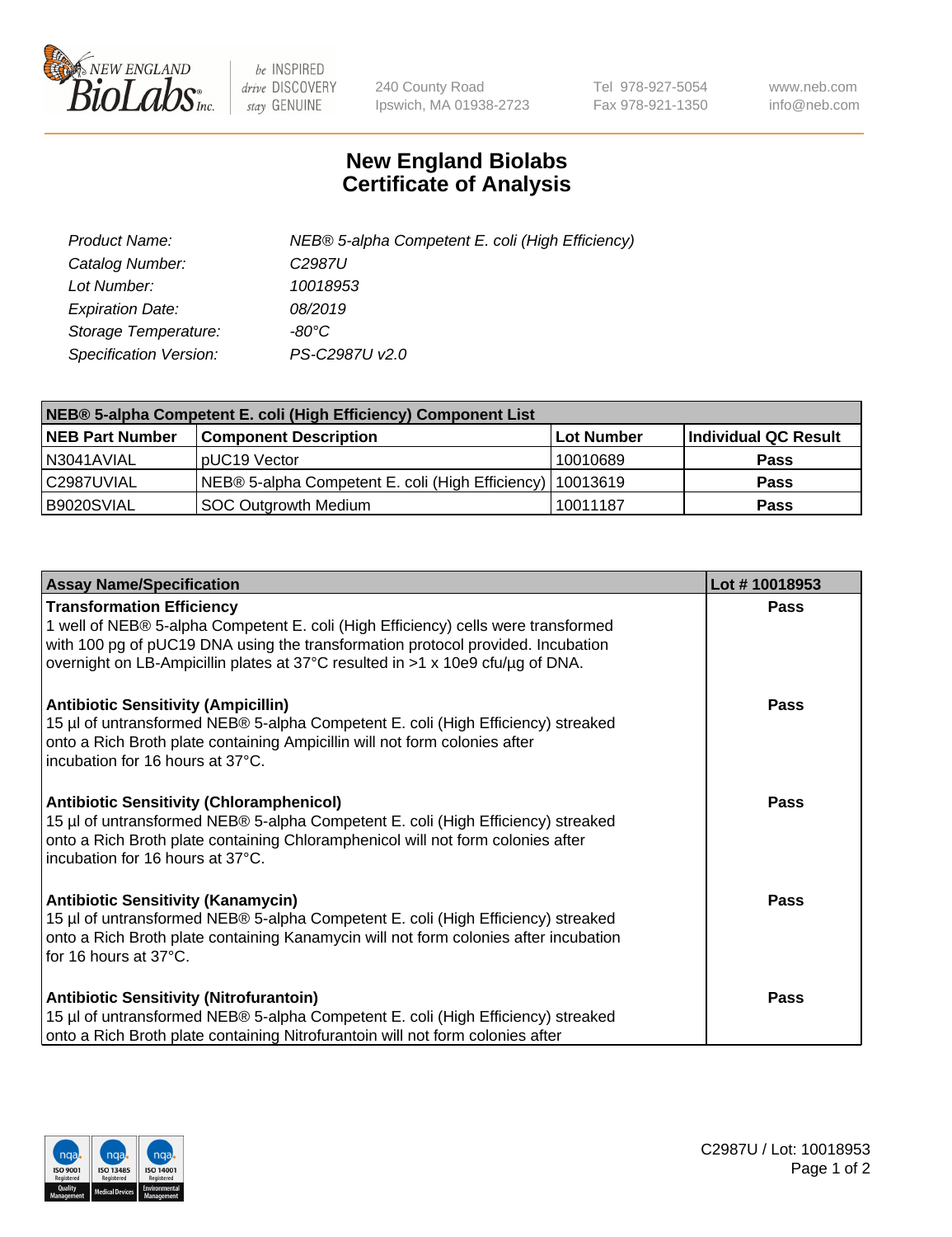

 $be$  INSPIRED drive DISCOVERY stay GENUINE

240 County Road Ipswich, MA 01938-2723 Tel 978-927-5054 Fax 978-921-1350 www.neb.com info@neb.com

## **New England Biolabs Certificate of Analysis**

| Product Name:                 | NEB® 5-alpha Competent E. coli (High Efficiency) |
|-------------------------------|--------------------------------------------------|
| Catalog Number:               | C <sub>2987</sub> U                              |
| Lot Number:                   | 10018953                                         |
| <b>Expiration Date:</b>       | 08/2019                                          |
| Storage Temperature:          | -80°C                                            |
| <b>Specification Version:</b> | PS-C2987U v2.0                                   |

| NEB® 5-alpha Competent E. coli (High Efficiency) Component List |                                                             |            |                      |  |
|-----------------------------------------------------------------|-------------------------------------------------------------|------------|----------------------|--|
| <b>NEB Part Number</b>                                          | <b>Component Description</b>                                | Lot Number | Individual QC Result |  |
| N3041AVIAL                                                      | pUC19 Vector                                                | 10010689   | <b>Pass</b>          |  |
| C2987UVIAL                                                      | NEB® 5-alpha Competent E. coli (High Efficiency)   10013619 |            | <b>Pass</b>          |  |
| B9020SVIAL                                                      | SOC Outgrowth Medium                                        | 10011187   | <b>Pass</b>          |  |

| <b>Assay Name/Specification</b>                                                                                                                                                                                                                                                            | Lot #10018953 |
|--------------------------------------------------------------------------------------------------------------------------------------------------------------------------------------------------------------------------------------------------------------------------------------------|---------------|
| <b>Transformation Efficiency</b><br>1 well of NEB® 5-alpha Competent E. coli (High Efficiency) cells were transformed<br>with 100 pg of pUC19 DNA using the transformation protocol provided. Incubation<br>overnight on LB-Ampicillin plates at 37°C resulted in >1 x 10e9 cfu/µg of DNA. | <b>Pass</b>   |
| <b>Antibiotic Sensitivity (Ampicillin)</b><br>15 µl of untransformed NEB® 5-alpha Competent E. coli (High Efficiency) streaked<br>onto a Rich Broth plate containing Ampicillin will not form colonies after<br>incubation for 16 hours at 37°C.                                           | Pass          |
| <b>Antibiotic Sensitivity (Chloramphenicol)</b><br>15 µl of untransformed NEB® 5-alpha Competent E. coli (High Efficiency) streaked<br>onto a Rich Broth plate containing Chloramphenicol will not form colonies after<br>incubation for 16 hours at 37°C.                                 | Pass          |
| <b>Antibiotic Sensitivity (Kanamycin)</b><br>15 µl of untransformed NEB® 5-alpha Competent E. coli (High Efficiency) streaked<br>onto a Rich Broth plate containing Kanamycin will not form colonies after incubation<br>for 16 hours at 37°C.                                             | Pass          |
| <b>Antibiotic Sensitivity (Nitrofurantoin)</b><br>15 µl of untransformed NEB® 5-alpha Competent E. coli (High Efficiency) streaked<br>onto a Rich Broth plate containing Nitrofurantoin will not form colonies after                                                                       | <b>Pass</b>   |